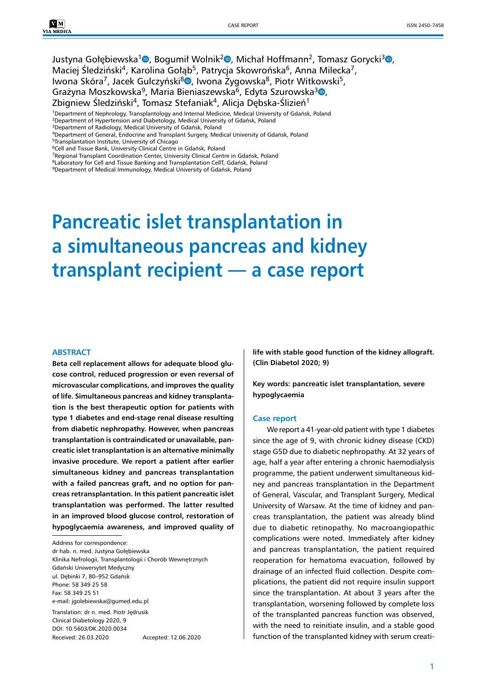Justyna Gołębiewska<sup>[1](https://orcid.org/0000-0001-5346-8369)</sup><sup>0</sup>[,](https://orcid.org/0000-0002-4568-7606) Bogumił Wolnik<sup>2</sup><sup>0</sup>, Michał Hoffmann<sup>2</sup>, Tomasz Gorycki<sup>3</sup><sup>0</sup>, Maciej Śledziński<sup>4</sup>, Karolina Gołab<sup>5</sup>, Patrycia Skowrońska<sup>6</sup>, Anna Milecka<sup>7</sup>, Iwona Skóra<sup>7</sup>, Jacek Gulczyński<sup>8</sup><sup>0</sup>, Iwona Żyg[ow](https://orcid.org/0000-0002-7042-4381)ska<sup>8</sup>, Piotr Witkowski<sup>5</sup>, Grażyna Moszkowska<sup>9</sup>, Maria Bieniaszewska<sup>6</sup>, Edyta Szurowska<sup>3</sup><sup>®</sup>, Zbigniew Śledziński<sup>4</sup>, Tomasz Stefaniak<sup>4</sup>, Alicja Dębska-Ślizień<sup>1</sup>

<sup>1</sup>Department of Nephrology, Transplantology and Internal Medicine, Medical University of Gdańsk, Poland <sup>2</sup>Department of Hypertension and Diabetology, Medical University of Gdańsk, Poland

<sup>4</sup>Department of General, Endocrine and Transplant Surgery, Medical University of Gdańsk, Poland

<sup>6</sup>Cell and Tissue Bank, University Clinical Centre in Gdańsk, Poland

<sup>7</sup>Regional Transplant Coordination Center, University Clinical Centre in Gdańsk, Poland

<sup>8</sup>Laboratory for Cell and Tissue Banking and Transplantation CellT, Gdańsk, Poland <sup>9</sup>Department of Medical Immunology, Medical University of Gdańsk, Poland

# **Pancreatic islet transplantation in a simultaneous pancreas and kidney transplant recipient — a case report**

#### **ABSTRACT**

**Beta cell replacement allows for adequate blood glucose control, reduced progression or even reversal of microvascular complications, and improves the quality of life. Simultaneous pancreas and kidney transplantation is the best therapeutic option for patients with type 1 diabetes and end-stage renal disease resulting from diabetic nephropathy. However, when pancreas transplantation is contraindicated or unavailable, pancreatic islet transplantation is an alternative minimally invasive procedure. We report a patient after earlier simultaneous kidney and pancreas transplantation with a failed pancreas graft, and no option for pancreas retransplantation. In this patient pancreatic islet transplantation was performed. The latter resulted in an improved blood glucose control, restoration of hypoglycaemia awareness, and improved quality of** 

Address for correspondence:

dr hab. n. med. Justyna Gołębiewska Klinika Nefrologii, Transplantologii i Chorób Wewnętrznych Gdański Uniwersytet Medyczny ul. Dębinki 7, 80–952 Gdańsk Phone: 58 349 25 58 Fax: 58 349 25 51 e-mail: [jgolebiewska@gumed.edu.pl](mailto:jgolebiewska@gumed.edu.pl)

Translation: dr n. med. Piotr Jędrusik Clinical Diabetology 2020, 9 DOI: 10.5603/DK.2020.0034 Received: 26.03.2020 Accepted: 12.06.2020 **life with stable good function of the kidney allograft. (Clin Diabetol 2020; 9)**

**Key words: pancreatic islet transplantation, severe hypoglycaemia**

#### **Case report**

We report a 41-year-old patient with type 1 diabetes since the age of 9, with chronic kidney disease (CKD) stage G5D due to diabetic nephropathy. At 32 years of age, half a year after entering a chronic haemodialysis programme, the patient underwent simultaneous kidney and pancreas transplantation in the Department of General, Vascular, and Transplant Surgery, Medical University of Warsaw. At the time of kidney and pancreas transplantation, the patient was already blind due to diabetic retinopathy. No macroangiopathic complications were noted. Immediately after kidney and pancreas transplantation, the patient required reoperation for hematoma evacuation, followed by drainage of an infected fluid collection. Despite complications, the patient did not require insulin support since the transplantation. At about 3 years after the transplantation, worsening followed by complete loss of the transplanted pancreas function was observed, with the need to reinitiate insulin, and a stable good function of the transplanted kidney with serum creati-

<sup>3</sup>Department of Radiology, Medical University of Gdańsk, Poland

<sup>5</sup>Transplantation Institute, University of Chicago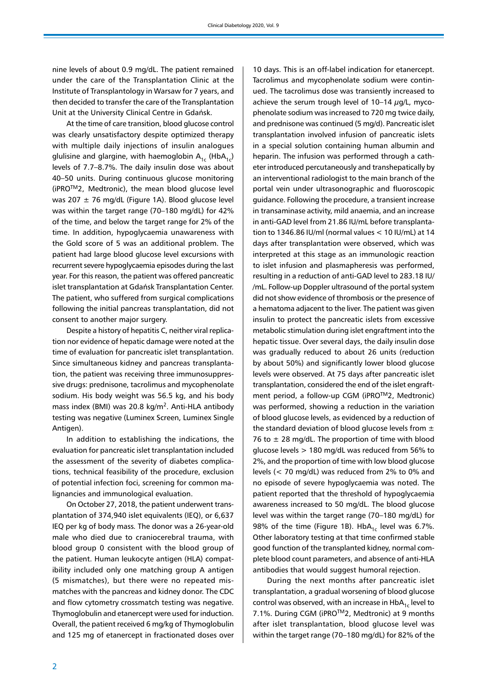nine levels of about 0.9 mg/dL. The patient remained under the care of the Transplantation Clinic at the Institute of Transplantology in Warsaw for 7 years, and then decided to transfer the care of the Transplantation Unit at the University Clinical Centre in Gdańsk.

At the time of care transition, blood glucose control was clearly unsatisfactory despite optimized therapy with multiple daily injections of insulin analogues glulisine and glargine, with haemoglobin  $A_{1c}$  (Hb $A_{1c}$ ) levels of 7.7–8.7%. The daily insulin dose was about 40–50 units. During continuous glucose monitoring (iPROTM2, Medtronic), the mean blood glucose level was 207  $\pm$  76 mg/dL (Figure 1A). Blood glucose level was within the target range (70–180 mg/dL) for 42% of the time, and below the target range for 2% of the time. In addition, hypoglycaemia unawareness with the Gold score of 5 was an additional problem. The patient had large blood glucose level excursions with recurrent severe hypoglycaemia episodes during the last year. For this reason, the patient was offered pancreatic islet transplantation at Gdańsk Transplantation Center. The patient, who suffered from surgical complications following the initial pancreas transplantation, did not consent to another major surgery.

Despite a history of hepatitis C, neither viral replication nor evidence of hepatic damage were noted at the time of evaluation for pancreatic islet transplantation. Since simultaneous kidney and pancreas transplantation, the patient was receiving three immunosuppressive drugs: prednisone, tacrolimus and mycophenolate sodium. His body weight was 56.5 kg, and his body mass index (BMI) was 20.8 kg/m<sup>2</sup>. Anti-HLA antibody testing was negative (Luminex Screen, Luminex Single Antigen).

In addition to establishing the indications, the evaluation for pancreatic islet transplantation included the assessment of the severity of diabetes complications, technical feasibility of the procedure, exclusion of potential infection foci, screening for common malignancies and immunological evaluation.

On October 27, 2018, the patient underwent transplantation of 374,940 islet equivalents (IEQ), or 6,637 IEQ per kg of body mass*.* The donor was a 26-year-old male who died due to craniocerebral trauma, with blood group 0 consistent with the blood group of the patient. Human leukocyte antigen (HLA) compatibility included only one matching group A antigen (5 mismatches), but there were no repeated mismatches with the pancreas and kidney donor. The CDC and flow cytometry crossmatch testing was negative. Thymoglobulin and etanercept were used for induction. Overall, the patient received 6 mg/kg of Thymoglobulin and 125 mg of etanercept in fractionated doses over

10 days. This is an off-label indication for etanercept. Tacrolimus and mycophenolate sodium were continued. The tacrolimus dose was transiently increased to achieve the serum trough level of  $10-14 \mu g/L$ , mycophenolate sodium was increased to 720 mg twice daily, and prednisone was continued (5 mg/d). Pancreatic islet transplantation involved infusion of pancreatic islets in a special solution containing human albumin and heparin. The infusion was performed through a catheter introduced percutaneously and transhepatically by an interventional radiologist to the main branch of the portal vein under ultrasonographic and fluoroscopic guidance. Following the procedure, a transient increase in transaminase activity, mild anaemia, and an increase in anti-GAD level from 21.86 IU/mL before transplantation to 1346.86 IU/ml (normal values < 10 IU/mL) at 14 days after transplantation were observed, which was interpreted at this stage as an immunologic reaction to islet infusion and plasmapheresis was performed, resulting in a reduction of anti-GAD level to 283.18 IU/ /mL. Follow-up Doppler ultrasound of the portal system did not show evidence of thrombosis or the presence of a hematoma adjacent to the liver. The patient was given insulin to protect the pancreatic islets from excessive metabolic stimulation during islet engraftment into the hepatic tissue. Over several days, the daily insulin dose was gradually reduced to about 26 units (reduction by about 50%) and significantly lower blood glucose levels were observed. At 75 days after pancreatic islet transplantation, considered the end of the islet engraftment period, a follow-up CGM (iPRO™2, Medtronic) was performed, showing a reduction in the variation of blood glucose levels, as evidenced by a reduction of the standard deviation of blood glucose levels from  $\pm$ 76 to  $\pm$  28 mg/dL. The proportion of time with blood glucose levels > 180 mg/dL was reduced from 56% to 2%, and the proportion of time with low blood glucose levels (< 70 mg/dL) was reduced from 2% to 0% and no episode of severe hypoglycaemia was noted. The patient reported that the threshold of hypoglycaemia awareness increased to 50 mg/dL. The blood glucose level was within the target range (70–180 mg/dL) for 98% of the time (Figure 1B).  $HbA_{1c}$  level was 6.7%. Other laboratory testing at that time confirmed stable good function of the transplanted kidney, normal complete blood count parameters, and absence of anti-HLA antibodies that would suggest humoral rejection.

During the next months after pancreatic islet transplantation, a gradual worsening of blood glucose control was observed, with an increase in  $HbA_{1c}$  level to 7.1%. During CGM (iPRO™2, Medtronic) at 9 months after islet transplantation, blood glucose level was within the target range (70–180 mg/dL) for 82% of the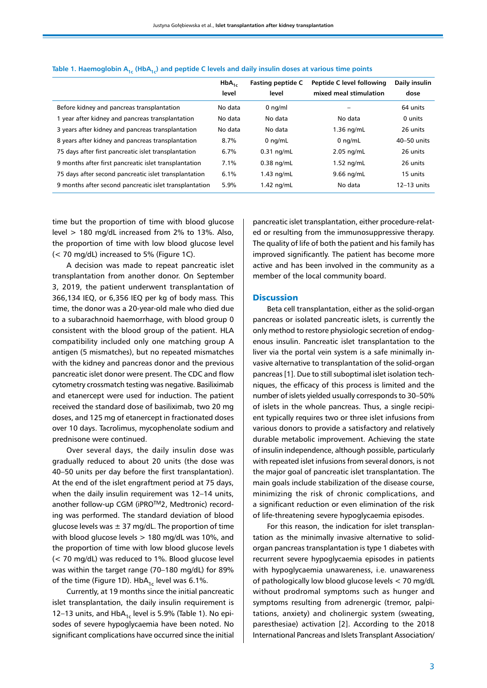|                                                        | $HbA_{1c}$<br>level | <b>Fasting peptide C</b><br>level | Peptide C level following<br>mixed meal stimulation | Daily insulin<br>dose |
|--------------------------------------------------------|---------------------|-----------------------------------|-----------------------------------------------------|-----------------------|
| Before kidney and pancreas transplantation             | No data             | $0$ ng/ml                         |                                                     | 64 units              |
| vear after kidney and pancreas transplantation         | No data             | No data                           | No data                                             | 0 units               |
| 3 years after kidney and pancreas transplantation      | No data             | No data                           | $1.36$ ng/mL                                        | 26 units              |
| 8 years after kidney and pancreas transplantation      | 8.7%                | $0$ ng/mL                         | $0$ ng/mL                                           | 40-50 units           |
| 75 days after first pancreatic islet transplantation   | 6.7%                | $0.31$ ng/mL                      | $2.05$ ng/mL                                        | 26 units              |
| 9 months after first pancreatic islet transplantation  | 7.1%                | $0.38$ ng/mL                      | $1.52$ ng/mL                                        | 26 units              |
| 75 days after second pancreatic islet transplantation  | 6.1%                | $1.43$ ng/mL                      | $9.66$ ng/mL                                        | 15 units              |
| 9 months after second pancreatic islet transplantation | 5.9%                | $1.42$ ng/mL                      | No data                                             | $12-13$ units         |

Table 1. Haemoglobin A<sub>1c</sub> (HbA<sub>1c</sub>) and peptide C levels and daily insulin doses at various time points

time but the proportion of time with blood glucose level > 180 mg/dL increased from 2% to 13%. Also, the proportion of time with low blood glucose level (< 70 mg/dL) increased to 5% (Figure 1C).

A decision was made to repeat pancreatic islet transplantation from another donor. On September 3, 2019, the patient underwent transplantation of 366,134 IEQ, or 6,356 IEQ per kg of body mass*.* This time, the donor was a 20-year-old male who died due to a subarachnoid haemorrhage, with blood group 0 consistent with the blood group of the patient. HLA compatibility included only one matching group A antigen (5 mismatches), but no repeated mismatches with the kidney and pancreas donor and the previous pancreatic islet donor were present. The CDC and flow cytometry crossmatch testing was negative. Basiliximab and etanercept were used for induction. The patient received the standard dose of basiliximab, two 20 mg doses, and 125 mg of etanercept in fractionated doses over 10 days. Tacrolimus, mycophenolate sodium and prednisone were continued.

Over several days, the daily insulin dose was gradually reduced to about 20 units (the dose was 40–50 units per day before the first transplantation). At the end of the islet engraftment period at 75 days, when the daily insulin requirement was 12–14 units, another follow-up CGM (iPRO™2, Medtronic) recording was performed. The standard deviation of blood glucose levels was  $\pm$  37 mg/dL. The proportion of time with blood glucose levels > 180 mg/dL was 10%, and the proportion of time with low blood glucose levels (< 70 mg/dL) was reduced to 1%. Blood glucose level was within the target range (70–180 mg/dL) for 89% of the time (Figure 1D). HbA<sub>1c</sub> level was 6.1%.

Currently, at 19 months since the initial pancreatic islet transplantation, the daily insulin requirement is 12–13 units, and  $HbA_{1c}$  level is 5.9% (Table 1). No episodes of severe hypoglycaemia have been noted. No significant complications have occurred since the initial

pancreatic islet transplantation, either procedure-related or resulting from the immunosuppressive therapy. The quality of life of both the patient and his family has improved significantly. The patient has become more active and has been involved in the community as a member of the local community board.

#### **Discussion**

Beta cell transplantation, either as the solid-organ pancreas or isolated pancreatic islets, is currently the only method to restore physiologic secretion of endogenous insulin. Pancreatic islet transplantation to the liver via the portal vein system is a safe minimally invasive alternative to transplantation of the solid-organ pancreas [1]. Due to still suboptimal islet isolation techniques, the efficacy of this process is limited and the number of islets yielded usually corresponds to 30–50% of islets in the whole pancreas. Thus, a single recipient typically requires two or three islet infusions from various donors to provide a satisfactory and relatively durable metabolic improvement. Achieving the state of insulin independence, although possible, particularly with repeated islet infusions from several donors, is not the major goal of pancreatic islet transplantation. The main goals include stabilization of the disease course, minimizing the risk of chronic complications, and a significant reduction or even elimination of the risk of life-threatening severe hypoglycaemia episodes.

For this reason, the indication for islet transplantation as the minimally invasive alternative to solidorgan pancreas transplantation is type 1 diabetes with recurrent severe hypoglycaemia episodes in patients with hypoglycaemia unawareness, i.e. unawareness of pathologically low blood glucose levels < 70 mg/dL without prodromal symptoms such as hunger and symptoms resulting from adrenergic (tremor, palpitations, anxiety) and cholinergic system (sweating, paresthesiae) activation [2]. According to the 2018 International Pancreas and Islets Transplant Association/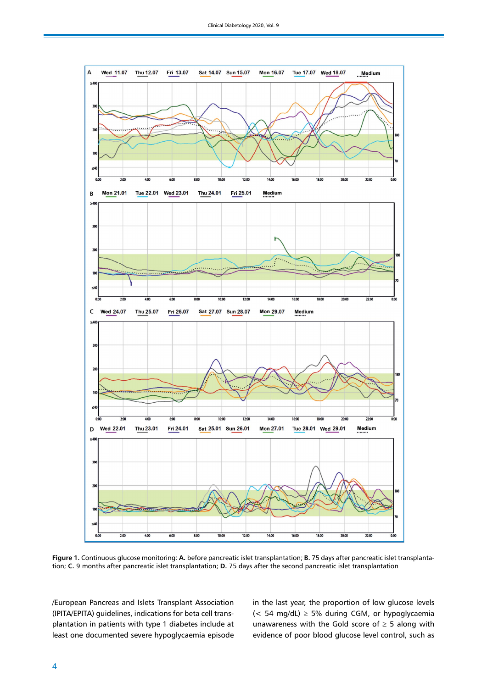

**Figure 1.** Continuous glucose monitoring: **A.** before pancreatic islet transplantation; **B.** 75 days after pancreatic islet transplantation; **C.** 9 months after pancreatic islet transplantation; **D.** 75 days after the second pancreatic islet transplantation

/European Pancreas and Islets Transplant Association (IPITA/EPITA) guidelines, indications for beta cell transplantation in patients with type 1 diabetes include at least one documented severe hypoglycaemia episode

in the last year, the proportion of low glucose levels  $(< 54$  mg/dL)  $\geq 5\%$  during CGM, or hypoglycaemia unawareness with the Gold score of  $\geq$  5 along with evidence of poor blood glucose level control, such as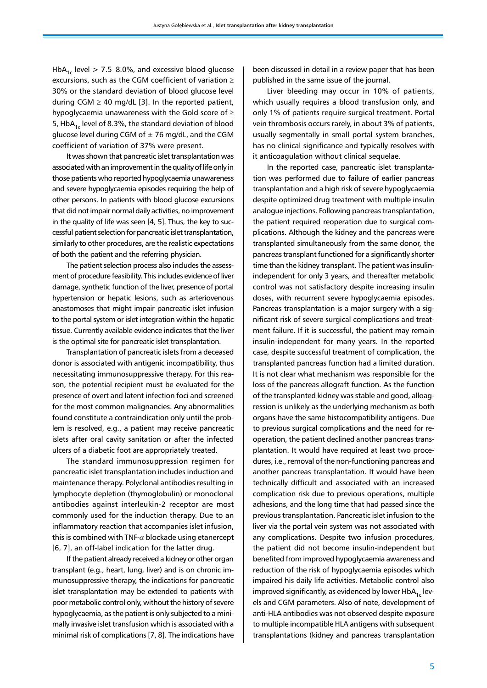HbA<sub>1c</sub> level  $> 7.5-8.0\%$ , and excessive blood glucose excursions, such as the CGM coefficient of variation ≥ 30% or the standard deviation of blood glucose level during CGM  $\geq$  40 mg/dL [3]. In the reported patient, hypoglycaemia unawareness with the Gold score of ≥ 5, HbA<sub>1c</sub> level of 8.3%, the standard deviation of blood glucose level during CGM of  $\pm$  76 mg/dL, and the CGM coefficient of variation of 37% were present.

It was shown that pancreatic islet transplantation was associated with an improvement in the quality of life only in those patients who reported hypoglycaemia unawareness and severe hypoglycaemia episodes requiring the help of other persons. In patients with blood glucose excursions that did not impair normal daily activities, no improvement in the quality of life was seen [4, 5]. Thus, the key to successful patient selection for pancreatic islet transplantation, similarly to other procedures, are the realistic expectations of both the patient and the referring physician.

The patient selection process also includes the assessment of procedure feasibility. This includes evidence of liver damage, synthetic function of the liver, presence of portal hypertension or hepatic lesions, such as arteriovenous anastomoses that might impair pancreatic islet infusion to the portal system or islet integration within the hepatic tissue. Currently available evidence indicates that the liver is the optimal site for pancreatic islet transplantation.

Transplantation of pancreatic islets from a deceased donor is associated with antigenic incompatibility, thus necessitating immunosuppressive therapy. For this reason, the potential recipient must be evaluated for the presence of overt and latent infection foci and screened for the most common malignancies. Any abnormalities found constitute a contraindication only until the problem is resolved, e.g., a patient may receive pancreatic islets after oral cavity sanitation or after the infected ulcers of a diabetic foot are appropriately treated.

The standard immunosuppression regimen for pancreatic islet transplantation includes induction and maintenance therapy. Polyclonal antibodies resulting in lymphocyte depletion (thymoglobulin) or monoclonal antibodies against interleukin-2 receptor are most commonly used for the induction therapy. Due to an inflammatory reaction that accompanies islet infusion, this is combined with TNF- $\alpha$  blockade using etanercept [6, 7], an off-label indication for the latter drug.

If the patient already received a kidney or other organ transplant (e.g., heart, lung, liver) and is on chronic immunosuppressive therapy, the indications for pancreatic islet transplantation may be extended to patients with poor metabolic control only, without the history of severe hypoglycaemia, as the patient is only subjected to a minimally invasive islet transfusion which is associated with a minimal risk of complications [7, 8]. The indications have

been discussed in detail in a review paper that has been published in the same issue of the journal.

Liver bleeding may occur in 10% of patients, which usually requires a blood transfusion only, and only 1% of patients require surgical treatment. Portal vein thrombosis occurs rarely, in about 3% of patients, usually segmentally in small portal system branches, has no clinical significance and typically resolves with it anticoagulation without clinical sequelae.

In the reported case, pancreatic islet transplantation was performed due to failure of earlier pancreas transplantation and a high risk of severe hypoglycaemia despite optimized drug treatment with multiple insulin analogue injections. Following pancreas transplantation, the patient required reoperation due to surgical complications. Although the kidney and the pancreas were transplanted simultaneously from the same donor, the pancreas transplant functioned for a significantly shorter time than the kidney transplant. The patient was insulinindependent for only 3 years, and thereafter metabolic control was not satisfactory despite increasing insulin doses, with recurrent severe hypoglycaemia episodes. Pancreas transplantation is a major surgery with a significant risk of severe surgical complications and treatment failure. If it is successful, the patient may remain insulin-independent for many years. In the reported case, despite successful treatment of complication, the transplanted pancreas function had a limited duration. It is not clear what mechanism was responsible for the loss of the pancreas allograft function. As the function of the transplanted kidney was stable and good, alloagression is unlikely as the underlying mechanism as both organs have the same histocompatibility antigens. Due to previous surgical complications and the need for reoperation, the patient declined another pancreas transplantation. It would have required at least two procedures, i.e., removal of the non-functioning pancreas and another pancreas transplantation. It would have been technically difficult and associated with an increased complication risk due to previous operations, multiple adhesions, and the long time that had passed since the previous transplantation. Pancreatic islet infusion to the liver via the portal vein system was not associated with any complications. Despite two infusion procedures, the patient did not become insulin-independent but benefited from improved hypoglycaemia awareness and reduction of the risk of hypoglycaemia episodes which impaired his daily life activities. Metabolic control also improved significantly, as evidenced by lower  $HbA_{1c}$  levels and CGM parameters. Also of note, development of anti-HLA antibodies was not observed despite exposure to multiple incompatible HLA antigens with subsequent transplantations (kidney and pancreas transplantation